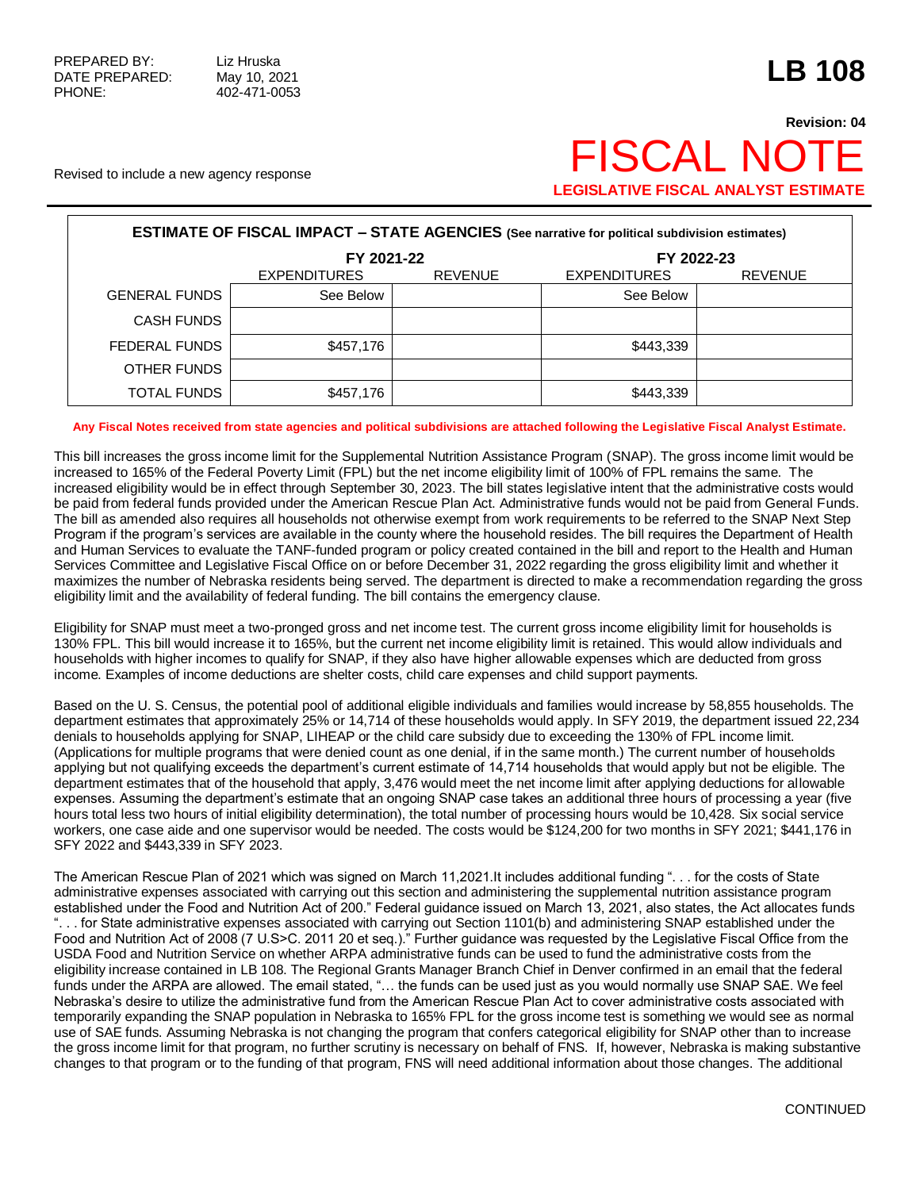## **Revision: 04** Revised to include a new agency response FISCAL NC **LEGISLATIVE FISCAL ANALYST ESTIMATE**

| <b>ESTIMATE OF FISCAL IMPACT - STATE AGENCIES</b> (See narrative for political subdivision estimates) |                     |                |                     |                |  |  |  |
|-------------------------------------------------------------------------------------------------------|---------------------|----------------|---------------------|----------------|--|--|--|
|                                                                                                       | FY 2021-22          |                | FY 2022-23          |                |  |  |  |
|                                                                                                       | <b>EXPENDITURES</b> | <b>REVENUE</b> | <b>EXPENDITURES</b> | <b>REVENUE</b> |  |  |  |
| <b>GENERAL FUNDS</b>                                                                                  | See Below           |                | See Below           |                |  |  |  |
| <b>CASH FUNDS</b>                                                                                     |                     |                |                     |                |  |  |  |
| FEDERAL FUNDS                                                                                         | \$457,176           |                | \$443,339           |                |  |  |  |
| OTHER FUNDS                                                                                           |                     |                |                     |                |  |  |  |
| TOTAL FUNDS                                                                                           | \$457,176           |                | \$443,339           |                |  |  |  |

## **Any Fiscal Notes received from state agencies and political subdivisions are attached following the Legislative Fiscal Analyst Estimate.**

This bill increases the gross income limit for the Supplemental Nutrition Assistance Program (SNAP). The gross income limit would be increased to 165% of the Federal Poverty Limit (FPL) but the net income eligibility limit of 100% of FPL remains the same. The increased eligibility would be in effect through September 30, 2023. The bill states legislative intent that the administrative costs would be paid from federal funds provided under the American Rescue Plan Act. Administrative funds would not be paid from General Funds. The bill as amended also requires all households not otherwise exempt from work requirements to be referred to the SNAP Next Step Program if the program's services are available in the county where the household resides. The bill requires the Department of Health and Human Services to evaluate the TANF-funded program or policy created contained in the bill and report to the Health and Human Services Committee and Legislative Fiscal Office on or before December 31, 2022 regarding the gross eligibility limit and whether it maximizes the number of Nebraska residents being served. The department is directed to make a recommendation regarding the gross eligibility limit and the availability of federal funding. The bill contains the emergency clause.

Eligibility for SNAP must meet a two-pronged gross and net income test. The current gross income eligibility limit for households is 130% FPL. This bill would increase it to 165%, but the current net income eligibility limit is retained. This would allow individuals and households with higher incomes to qualify for SNAP, if they also have higher allowable expenses which are deducted from gross income. Examples of income deductions are shelter costs, child care expenses and child support payments.

Based on the U. S. Census, the potential pool of additional eligible individuals and families would increase by 58,855 households. The department estimates that approximately 25% or 14,714 of these households would apply. In SFY 2019, the department issued 22,234 denials to households applying for SNAP, LIHEAP or the child care subsidy due to exceeding the 130% of FPL income limit. (Applications for multiple programs that were denied count as one denial, if in the same month.) The current number of households applying but not qualifying exceeds the department's current estimate of 14,714 households that would apply but not be eligible. The department estimates that of the household that apply, 3,476 would meet the net income limit after applying deductions for allowable expenses. Assuming the department's estimate that an ongoing SNAP case takes an additional three hours of processing a year (five hours total less two hours of initial eligibility determination), the total number of processing hours would be 10,428. Six social service workers, one case aide and one supervisor would be needed. The costs would be \$124,200 for two months in SFY 2021; \$441,176 in SFY 2022 and \$443,339 in SFY 2023.

The American Rescue Plan of 2021 which was signed on March 11,2021.It includes additional funding ". . . for the costs of State administrative expenses associated with carrying out this section and administering the supplemental nutrition assistance program established under the Food and Nutrition Act of 200." Federal guidance issued on March 13, 2021, also states, the Act allocates funds ... for State administrative expenses associated with carrying out Section 1101(b) and administering SNAP established under the Food and Nutrition Act of 2008 (7 U.S>C. 2011 20 et seq.)." Further guidance was requested by the Legislative Fiscal Office from the USDA Food and Nutrition Service on whether ARPA administrative funds can be used to fund the administrative costs from the eligibility increase contained in LB 108. The Regional Grants Manager Branch Chief in Denver confirmed in an email that the federal funds under the ARPA are allowed. The email stated, "... the funds can be used just as you would normally use SNAP SAE. We feel Nebraska's desire to utilize the administrative fund from the American Rescue Plan Act to cover administrative costs associated with temporarily expanding the SNAP population in Nebraska to 165% FPL for the gross income test is something we would see as normal use of SAE funds. Assuming Nebraska is not changing the program that confers categorical eligibility for SNAP other than to increase the gross income limit for that program, no further scrutiny is necessary on behalf of FNS. If, however, Nebraska is making substantive changes to that program or to the funding of that program, FNS will need additional information about those changes. The additional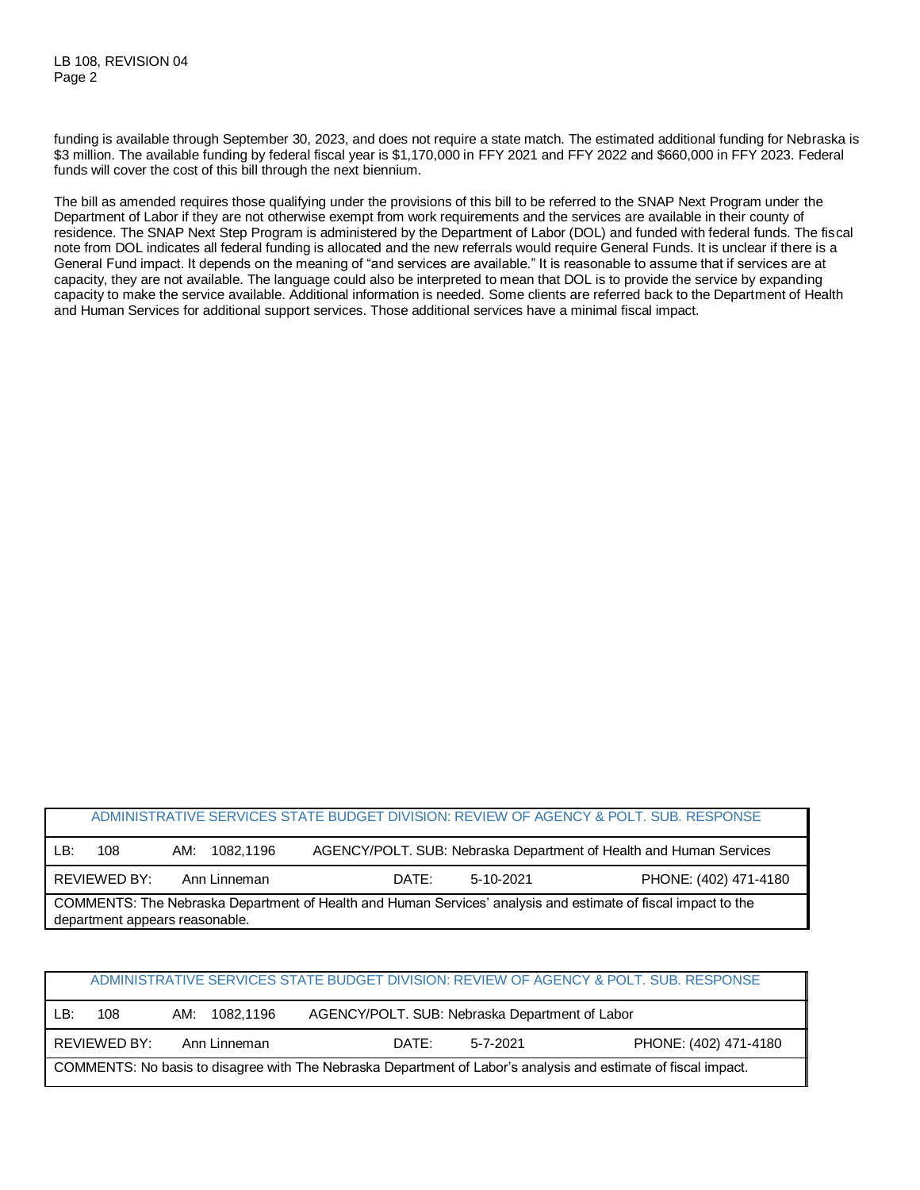funding is available through September 30, 2023, and does not require a state match. The estimated additional funding for Nebraska is \$3 million. The available funding by federal fiscal year is \$1,170,000 in FFY 2021 and FFY 2022 and \$660,000 in FFY 2023. Federal funds will cover the cost of this bill through the next biennium.

The bill as amended requires those qualifying under the provisions of this bill to be referred to the SNAP Next Program under the Department of Labor if they are not otherwise exempt from work requirements and the services are available in their county of residence. The SNAP Next Step Program is administered by the Department of Labor (DOL) and funded with federal funds. The fiscal note from DOL indicates all federal funding is allocated and the new referrals would require General Funds. It is unclear if there is a General Fund impact. It depends on the meaning of "and services are available." It is reasonable to assume that if services are at capacity, they are not available. The language could also be interpreted to mean that DOL is to provide the service by expanding capacity to make the service available. Additional information is needed. Some clients are referred back to the Department of Health and Human Services for additional support services. Those additional services have a minimal fiscal impact.

|                                                                                                                                                 |     |               | ADMINISTRATIVE SERVICES STATE BUDGET DIVISION: REVIEW OF AGENCY & POLT, SUB, RESPONSE |  |  |  |  |
|-------------------------------------------------------------------------------------------------------------------------------------------------|-----|---------------|---------------------------------------------------------------------------------------|--|--|--|--|
| LB:                                                                                                                                             | 108 | AM: 1082.1196 | AGENCY/POLT. SUB: Nebraska Department of Health and Human Services                    |  |  |  |  |
| PHONE: (402) 471-4180<br>REVIEWED BY:<br>Ann Linneman<br>DATE:<br>5-10-2021                                                                     |     |               |                                                                                       |  |  |  |  |
| COMMENTS: The Nebraska Department of Health and Human Services' analysis and estimate of fiscal impact to the<br>department appears reasonable. |     |               |                                                                                       |  |  |  |  |

|  | ADMINISTRATIVE SERVICES STATE BUDGET DIVISION: REVIEW OF AGENCY & POLT. SUB. RESPONSE |  |
|--|---------------------------------------------------------------------------------------|--|
|  |                                                                                       |  |
|  |                                                                                       |  |

| LB:                                                                                                            | 108          | 1082.1196<br>AM: | AGENCY/POLT. SUB: Nebraska Department of Labor |          |                       |
|----------------------------------------------------------------------------------------------------------------|--------------|------------------|------------------------------------------------|----------|-----------------------|
|                                                                                                                | REVIEWED BY: | Ann Linneman     | DATE:                                          | 5-7-2021 | PHONE: (402) 471-4180 |
| COMMENTS: No basis to disagree with The Nebraska Department of Labor's analysis and estimate of fiscal impact. |              |                  |                                                |          |                       |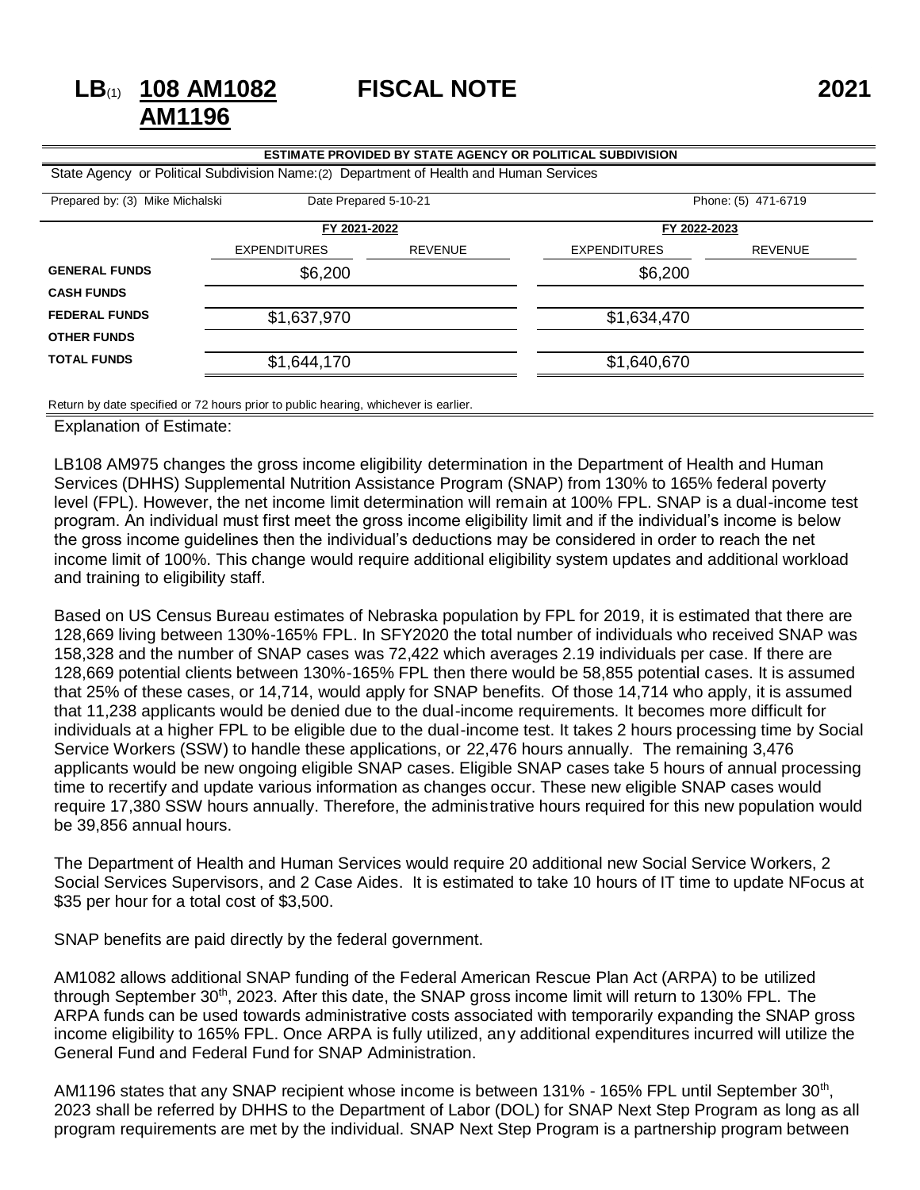## **FISCAL NOTE 2021**

| <b>ESTIMATE PROVIDED BY STATE AGENCY OR POLITICAL SUBDIVISION</b>                       |                     |                |                     |                |  |  |
|-----------------------------------------------------------------------------------------|---------------------|----------------|---------------------|----------------|--|--|
| State Agency or Political Subdivision Name: (2) Department of Health and Human Services |                     |                |                     |                |  |  |
| Phone: (5) 471-6719<br>Prepared by: (3) Mike Michalski<br>Date Prepared 5-10-21         |                     |                |                     |                |  |  |
|                                                                                         | FY 2021-2022        |                | FY 2022-2023        |                |  |  |
|                                                                                         | <b>EXPENDITURES</b> | <b>REVENUE</b> | <b>EXPENDITURES</b> | <b>REVENUE</b> |  |  |
| <b>GENERAL FUNDS</b>                                                                    | \$6,200             |                | \$6,200             |                |  |  |
| <b>CASH FUNDS</b>                                                                       |                     |                |                     |                |  |  |
| <b>FEDERAL FUNDS</b>                                                                    | \$1,637,970         |                | \$1,634,470         |                |  |  |
| <b>OTHER FUNDS</b>                                                                      |                     |                |                     |                |  |  |
| <b>TOTAL FUNDS</b>                                                                      | \$1,644,170         |                | \$1,640,670         |                |  |  |
|                                                                                         |                     |                |                     |                |  |  |

Return by date specified or 72 hours prior to public hearing, whichever is earlier.

Explanation of Estimate:

**LB**(1) **108 AM1082 AM1196**

LB108 AM975 changes the gross income eligibility determination in the Department of Health and Human Services (DHHS) Supplemental Nutrition Assistance Program (SNAP) from 130% to 165% federal poverty level (FPL). However, the net income limit determination will remain at 100% FPL. SNAP is a dual-income test program. An individual must first meet the gross income eligibility limit and if the individual's income is below the gross income guidelines then the individual's deductions may be considered in order to reach the net income limit of 100%. This change would require additional eligibility system updates and additional workload and training to eligibility staff.

Based on US Census Bureau estimates of Nebraska population by FPL for 2019, it is estimated that there are 128,669 living between 130%-165% FPL. In SFY2020 the total number of individuals who received SNAP was 158,328 and the number of SNAP cases was 72,422 which averages 2.19 individuals per case. If there are 128,669 potential clients between 130%-165% FPL then there would be 58,855 potential cases. It is assumed that 25% of these cases, or 14,714, would apply for SNAP benefits. Of those 14,714 who apply, it is assumed that 11,238 applicants would be denied due to the dual-income requirements. It becomes more difficult for individuals at a higher FPL to be eligible due to the dual-income test. It takes 2 hours processing time by Social Service Workers (SSW) to handle these applications, or 22,476 hours annually. The remaining 3,476 applicants would be new ongoing eligible SNAP cases. Eligible SNAP cases take 5 hours of annual processing time to recertify and update various information as changes occur. These new eligible SNAP cases would require 17,380 SSW hours annually. Therefore, the administrative hours required for this new population would be 39,856 annual hours.

The Department of Health and Human Services would require 20 additional new Social Service Workers, 2 Social Services Supervisors, and 2 Case Aides. It is estimated to take 10 hours of IT time to update NFocus at \$35 per hour for a total cost of \$3,500.

SNAP benefits are paid directly by the federal government.

AM1082 allows additional SNAP funding of the Federal American Rescue Plan Act (ARPA) to be utilized through September 30<sup>th</sup>, 2023. After this date, the SNAP gross income limit will return to 130% FPL. The ARPA funds can be used towards administrative costs associated with temporarily expanding the SNAP gross income eligibility to 165% FPL. Once ARPA is fully utilized, any additional expenditures incurred will utilize the General Fund and Federal Fund for SNAP Administration.

AM1196 states that any SNAP recipient whose income is between 131% - 165% FPL until September 30<sup>th</sup>, 2023 shall be referred by DHHS to the Department of Labor (DOL) for SNAP Next Step Program as long as all program requirements are met by the individual. SNAP Next Step Program is a partnership program between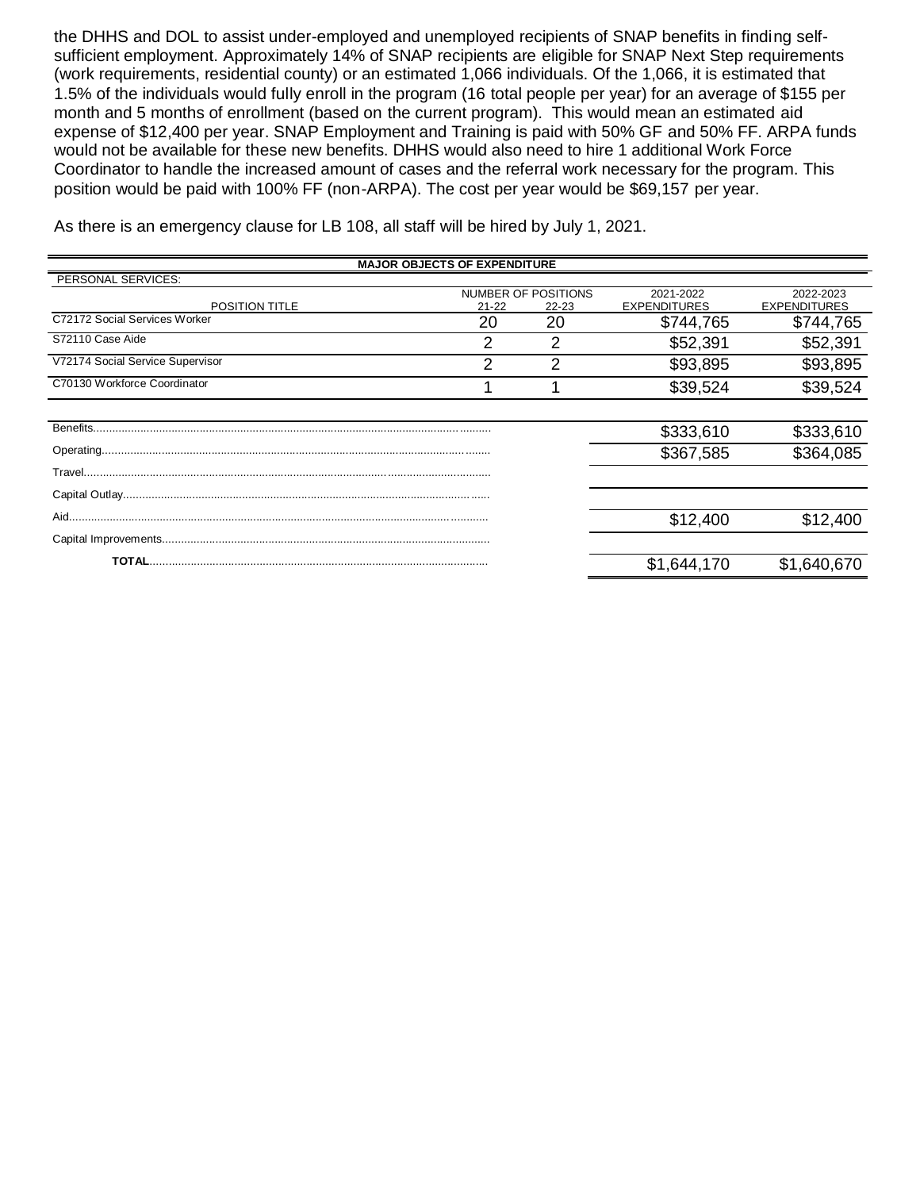the DHHS and DOL to assist under-employed and unemployed recipients of SNAP benefits in finding selfsufficient employment. Approximately 14% of SNAP recipients are eligible for SNAP Next Step requirements (work requirements, residential county) or an estimated 1,066 individuals. Of the 1,066, it is estimated that 1.5% of the individuals would fully enroll in the program (16 total people per year) for an average of \$155 per month and 5 months of enrollment (based on the current program). This would mean an estimated aid expense of \$12,400 per year. SNAP Employment and Training is paid with 50% GF and 50% FF. ARPA funds would not be available for these new benefits. DHHS would also need to hire 1 additional Work Force Coordinator to handle the increased amount of cases and the referral work necessary for the program. This position would be paid with 100% FF (non-ARPA). The cost per year would be \$69,157 per year.

As there is an emergency clause for LB 108, all staff will be hired by July 1, 2021.

| <b>MAJOR OBJECTS OF EXPENDITURE</b> |           |                                  |                                  |                                  |  |  |
|-------------------------------------|-----------|----------------------------------|----------------------------------|----------------------------------|--|--|
| PERSONAL SERVICES:                  |           |                                  |                                  |                                  |  |  |
| <b>POSITION TITLE</b>               | $21 - 22$ | NUMBER OF POSITIONS<br>$22 - 23$ | 2021-2022<br><b>EXPENDITURES</b> | 2022-2023<br><b>EXPENDITURES</b> |  |  |
| C72172 Social Services Worker       | 20        | 20                               | \$744,765                        | \$744,765                        |  |  |
| S72110 Case Aide                    | 2         | 2                                | \$52,391                         | \$52,391                         |  |  |
| V72174 Social Service Supervisor    | າ         | ⌒                                | \$93,895                         | \$93,895                         |  |  |
| C70130 Workforce Coordinator        |           |                                  | \$39,524                         | \$39,524                         |  |  |
|                                     |           |                                  |                                  |                                  |  |  |
|                                     |           |                                  | \$333,610                        | \$333,610                        |  |  |
|                                     |           |                                  | \$367,585                        | \$364,085                        |  |  |
|                                     |           |                                  |                                  |                                  |  |  |
|                                     |           |                                  |                                  |                                  |  |  |
|                                     |           |                                  | \$12,400                         | \$12,400                         |  |  |
|                                     |           |                                  |                                  |                                  |  |  |
|                                     |           |                                  | \$1,644,170                      | \$1,640,670                      |  |  |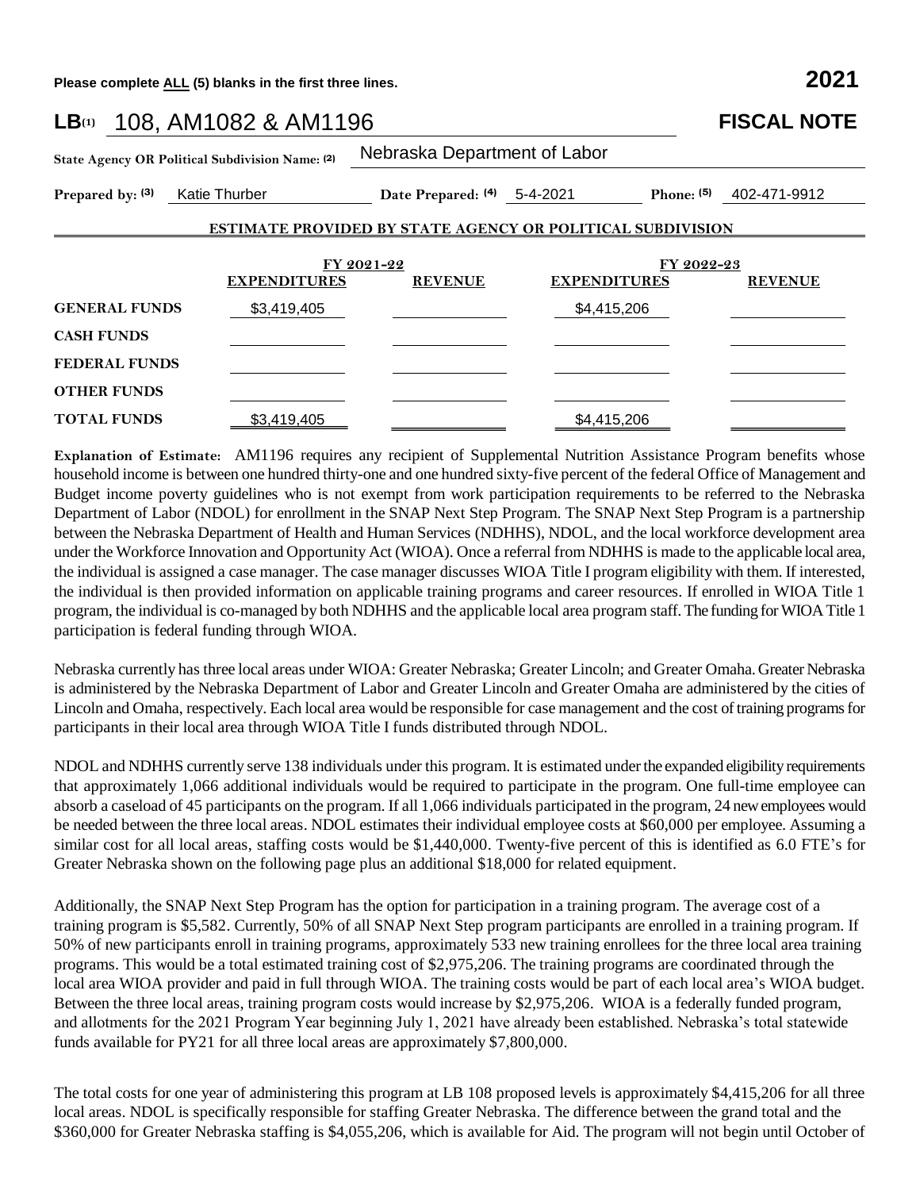**Please complete ALL (5) blanks in the first three lines. 2021**

| LB(1) 108, AM1082 & AM1196                      |                     |                              |                                                                   | <b>FISCAL NOTE</b>        |
|-------------------------------------------------|---------------------|------------------------------|-------------------------------------------------------------------|---------------------------|
| State Agency OR Political Subdivision Name: (2) |                     | Nebraska Department of Labor |                                                                   |                           |
| Prepared by: (3) Katie Thurber                  |                     | Date Prepared: (4) 5-4-2021  |                                                                   | Phone: $(5)$ 402-471-9912 |
|                                                 |                     |                              | <b>ESTIMATE PROVIDED BY STATE AGENCY OR POLITICAL SUBDIVISION</b> |                           |
|                                                 |                     | FY 2021-22                   | FY 2022-23                                                        |                           |
|                                                 | <b>EXPENDITURES</b> | <b>REVENUE</b>               | <b>EXPENDITURES</b>                                               | <b>REVENUE</b>            |
| <b>GENERAL FUNDS</b>                            | \$3,419,405         |                              | \$4,415,206                                                       |                           |
| <b>CASH FUNDS</b>                               |                     |                              |                                                                   |                           |
| <b>FEDERAL FUNDS</b>                            |                     |                              |                                                                   |                           |
| <b>OTHER FUNDS</b>                              |                     |                              |                                                                   |                           |
| <b>TOTAL FUNDS</b>                              | \$3,419,405         |                              | \$4,415,206                                                       |                           |

**Explanation of Estimate:** AM1196 requires any recipient of Supplemental Nutrition Assistance Program benefits whose household income is between one hundred thirty-one and one hundred sixty-five percent of the federal Office of Management and Budget income poverty guidelines who is not exempt from work participation requirements to be referred to the Nebraska Department of Labor (NDOL) for enrollment in the SNAP Next Step Program. The SNAP Next Step Program is a partnership between the Nebraska Department of Health and Human Services (NDHHS), NDOL, and the local workforce development area under the Workforce Innovation and Opportunity Act (WIOA). Once a referral from NDHHS is made to the applicable local area, the individual is assigned a case manager. The case manager discusses WIOA Title I program eligibility with them. If interested, the individual is then provided information on applicable training programs and career resources. If enrolled in WIOA Title 1 program, the individual is co-managed by both NDHHS and the applicable local area program staff. The funding for WIOA Title 1 participation is federal funding through WIOA.

Nebraska currently has three local areas under WIOA: Greater Nebraska; Greater Lincoln; and Greater Omaha. Greater Nebraska is administered by the Nebraska Department of Labor and Greater Lincoln and Greater Omaha are administered by the cities of Lincoln and Omaha, respectively. Each local area would be responsible for case management and the cost of training programs for participants in their local area through WIOA Title I funds distributed through NDOL.

NDOL and NDHHS currently serve 138 individuals under this program. It is estimated under the expanded eligibility requirements that approximately 1,066 additional individuals would be required to participate in the program. One full-time employee can absorb a caseload of 45 participants on the program. If all 1,066 individuals participated in the program, 24 new employees would be needed between the three local areas. NDOL estimates their individual employee costs at \$60,000 per employee. Assuming a similar cost for all local areas, staffing costs would be \$1,440,000. Twenty-five percent of this is identified as 6.0 FTE's for Greater Nebraska shown on the following page plus an additional \$18,000 for related equipment.

Additionally, the SNAP Next Step Program has the option for participation in a training program. The average cost of a training program is \$5,582. Currently, 50% of all SNAP Next Step program participants are enrolled in a training program. If 50% of new participants enroll in training programs, approximately 533 new training enrollees for the three local area training programs. This would be a total estimated training cost of \$2,975,206. The training programs are coordinated through the local area WIOA provider and paid in full through WIOA. The training costs would be part of each local area's WIOA budget. Between the three local areas, training program costs would increase by \$2,975,206. WIOA is a federally funded program, and allotments for the 2021 Program Year beginning July 1, 2021 have already been established. Nebraska's total statewide funds available for PY21 for all three local areas are approximately \$7,800,000.

The total costs for one year of administering this program at LB 108 proposed levels is approximately \$4,415,206 for all three local areas. NDOL is specifically responsible for staffing Greater Nebraska. The difference between the grand total and the \$360,000 for Greater Nebraska staffing is \$4,055,206, which is available for Aid. The program will not begin until October of